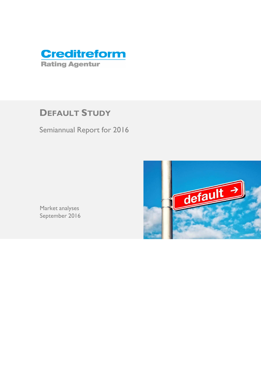

# **DEFAULT STUDY**

Semiannual Report for 2016



Market analyses September 2016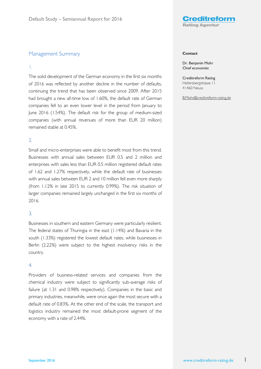

# Management Summary

### 1.

The solid development of the German economy in the first six months of 2016 was reflected by another decline in the number of defaults, continuing the trend that has been observed since 2009. After 2015 had brought a new all-time low of 1.60%, the default rate of German companies fell to an even lower level in the period from January to June 2016 (1.54%). The default risk for the group of medium-sized companies (with annual revenues of more than EUR 20 million) remained stable at 0.45%.

## 2.

Small and micro-enterprises were able to benefit most from this trend. Businesses with annual sales between EUR 0.5 and 2 million and enterprises with sales less than EUR 0.5 million registered default rates of 1.62 and 1.27% respectively, while the default rate of businesses with annual sales between EUR 2 and 10 million fell even more sharply (from 1.12% in late 2015 to currently 0.99%). The risk situation of larger companies remained largely unchanged in the first six months of 2016.

# 3.

Businesses in southern and eastern Germany were particularly resilient. The federal states of Thuringia in the east (1.14%) and Bavaria in the south (1.33%) registered the lowest default rates, while businesses in Berlin (2.22%) were subject to the highest insolvency risks in the country.

### 4.

Providers of business-related services and companies from the chemical industry were subject to significantly sub-average risks of failure (at 1.31 and 0.98% respectively). Companies in the basic and primary industries, meanwhile, were once again the most secure with a default rate of 0.83%. At the other end of the scale, the transport and logistics industry remained the most default-prone segment of the economy with a rate of 2.44%.

#### **Contact**

Dr. Benjamin Mohr Chief economist

Creditreform Rating Hellersbergstrasse 11 41460 Neuss

B.Mohr@creditreform-rating.de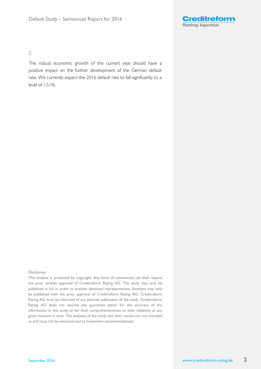

# 5.

The robust economic growth of the current year should have a positive impact on the further development of the German default rate. We currently expect the 2016 default rate to fall significantly to a level of 1.51%.

#### Disclaimer

This analysis is protected by copyright. Any form of commercial use shall require the prior written approval of Creditreform Rating AG. The study may only be published in full in order to prevent distorted representations. Excerpts may only be published with the prior approval of Creditreform Rating AG. Creditreform Rating AG must be informed of any planned publication of the study. Creditreform Rating AG does not assume any guarantee either for the accuracy of the information in this study or for their comprehensiveness or their reliability at any given moment in time. The analyses of the study and their results are not intended as and must not be misconstrued as investment recommendations.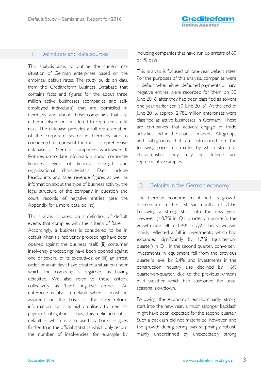# 1. Definitions and data sources

This analysis aims to outline the current risk situation of German enterprises based on the empirical default rates. The study builds on data from the Creditreform Business Database that contains facts and figures for the about three million active businesses (companies and selfemployed individuals) that are domiciled in Germany and about those companies that are either insolvent or considered to represent credit risks. The database provides a full representation of the corporate sector in Germany and is considered to represent the most comprehensive database of German companies worldwide. It features up-to-date information about corporate finances, levels of financial strength and organizational characteristics. Data include headcounts and sales revenue figures as well as information about the type of business activity, the legal structure of the company in question and court records of negative entries (see the Appendix for a more detailed list).

This analysis is based on a definition of default events that complies with the criteria of Basel III. Accordingly, a business is considered to be in default when (i) insolvency proceedings have been opened against the business itself; (ii) consumer insolvency proceedings have been opened against one or several of its executives; or (iii) an arrest order or an affidavit have created a situation under which the company is regarded as having defaulted. We also refer to these criteria collectively as 'hard negative entries'. An enterprise is also in default when it must be assumed on the basis of the Creditreform information that it is highly unlikely to meet its payment obligations. Thus, this definition of a default – which is also used by banks – goes further than the official statistics which only record the number of insolvencies, for example by including companies that have run up arrears of 60 or 90 days.

This analysis is focused on one-year default rates. For the purposes of this analysis, companies were in default when either defaulted payments or hard negative entries were recorded for them on 30 June 2016, after they had been classified as solvent one year earlier (on 30 June 2015). At the end of June 2016, approx. 2.782 million enterprises were classified as active businesses in Germany. These are companies that actively engage in trade activities and in the financial markets. All groups and sub-groups that are introduced on the following pages, no matter by which structural characteristics they may be defined are representative samples.

# 2. Defaults in the German economy

The German economy maintained its growth momentum in the first six months of 2016. Following a strong start into the new year, however (+0.7% in Q1 quarter-on-quarter), the growth rate fell to 0.4% in Q2. This slowdown mainly reflected a fall in investments, which had expanded significantly by 1.7% (quarter-onquarter) in Q1. In the second quarter, conversely, investments in equipment fell from the previous quarter's level by 2.4%, and investments in the construction industry also declined by 1.6% quarter-on-quarter, due to the previous winter's mild weather which had cushioned the usual seasonal slowdown.

Following the economy's extraordinarily strong start into the new year, a much stronger backlash might have been expected for the second quarter. Such a backlash did not materialize, however, and the growth during spring was surprisingly robust, mainly underpinned by unexpectedly strong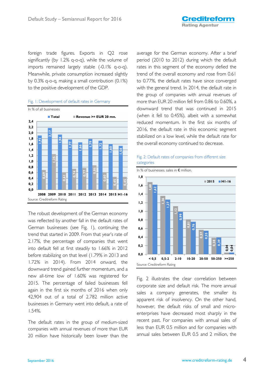foreign trade figures. Exports in Q2 rose significantly (by 1.2% q-o-q), while the volume of imports remained largely stable (-0.1% q-o-q). Meanwhile, private consumption increased slightly by 0.3% q-o-q, making a small contribution (0.1%) to the positive development of the GDP.



#### Fig. 1: Development of default rates in Germany

The robust development of the German economy was reflected by another fall in the default rates of German businesses (see Fig. 1), continuing the trend that started in 2009. From that year's rate of 2.17%, the percentage of companies that went into default fell at first steadily to 1.66% in 2012 before stabilizing on that level (1.79% in 2013 and 1.72% in 2014). From 2014 onward, the downward trend gained further momentum, and a new all-time low of 1.60% was registered for 2015. The percentage of failed businesses fell again in the first six months of 2016 when only 42,904 out of a total of 2.782 million active businesses in Germany went into default, a rate of 1.54%.

The default rates in the group of medium-sized companies with annual revenues of more than EUR 20 million have historically been lower than the

average for the German economy. After a brief period (2010 to 2012) during which the default rates in this segment of the economy defied the trend of the overall economy and rose from 0.61 to 0.77%, the default rates have since converged with the general trend. In 2014, the default rate in the group of companies with annual revenues of more than EUR 20 million fell from 0.86 to 0.60%, a downward trend that was continued in 2015 (when it fell to 0.45%), albeit with a somewhat reduced momentum. In the first six months of 2016, the default rate in this economic segment stabilized on a low level, while the default rate for the overall economy continued to decrease.





Fig. 2 illustrates the clear correlation between corporate size and default risk. The more annual sales a company generates, the smaller its apparent risk of insolvency. On the other hand, however, the default risks of small and microenterprises have decreased most sharply in the recent past. For companies with annual sales of less than EUR 0.5 million and for companies with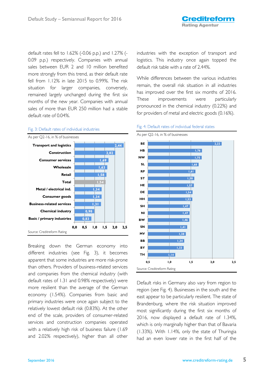default rates fell to 1.62% (-0.06 p.p.) and 1.27% (- 0.09 p.p.) respectively. Companies with annual sales between EUR 2 and 10 million benefited more strongly from this trend, as their default rate fell from 1.12% in late 2015 to 0.99%. The risk situation for larger companies, conversely, remained largely unchanged during the first six months of the new year. Companies with annual sales of more than EUR 250 million had a stable default rate of 0.04%.



# Breaking down the German economy into different industries (see Fig. 3), it becomes apparent that some industries are more risk-prone than others. Providers of business-related services and companies from the chemical industry (with default rates of 1.31 and 0.98% respectively) were more resilient than the average of the German economy (1.54%). Companies from basic and primary industries were once again subject to the relatively lowest default risk (0.83%). At the other end of the scale, providers of consumer-related services and construction companies operated with a relatively high risk of business failure (1.69 and 2.02% respectively), higher than all other

industries with the exception of transport and logistics. This industry once again topped the default risk table with a rate of 2.44%.

While differences between the various industries remain, the overall risk situation in all industries has improved over the first six months of 2016. These improvements were particularly pronounced in the chemical industry (0.22%) and for providers of metal and electric goods (0.16%).

#### Fig. 4: Default rates of individual federal states



Default risks in Germany also vary from region to region (see Fig. 4). Businesses in the south and the east appear to be particularly resilient. The state of Brandenburg, where the risk situation improved most significantly during the first six months of 2016, now displayed a default rate of 1.34%, which is only marginally higher than that of Bavaria (1.33%). With 1.14%, only the state of Thuringia had an even lower rate in the first half of the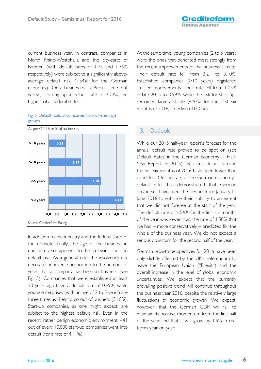current business year. In contrast, companies in North Rhine-Westphalia and the city-state of Bremen (with default rates of 1.75 and 1.76% respectively) were subject to a significantly aboveaverage default risk (1.54% for the German economy). Only businesses in Berlin came out worse, clocking up a default rate of 2.22%, the highest of all federal states.

### Fig. 5: Default rates of companies from different age groups



In addition to the industry and the federal state of the domicile, finally, the age of the business in question also appears to be relevant for the default risk. As a general rule, the insolvency risk decreases in inverse proportion to the number of years that a company has been in business (see Fig. 5). Companies that were established at least 10 years ago have a default rate of 0.99%, while young enterprises (with an age of 2 to 5 years) are three times as likely to go out of business (3.10%). Start-up companies, as one might expect, are subject to the highest default risk. Even in the recent, rather benign economic environment, 441 out of every 10,000 start-up companies went into default (for a rate of 4.41%).

At the same time, young companies (2 to 5 years) were the ones that benefited most strongly from the recent improvements of the business climate. Their default rate fell from 3.21 to 3.10%. Established companies (>10 years) registered smaller improvements. Their rate fell from 1.05% in late 2015 to 0.99%, while the risk for start-ups remained largely stable (4.43% for the first six months of 2016, a decline of 0.02%).

# 3. Outlook

While our 2015 half-year report's forecast for the annual default rate proved to be spot on (see Default Rates in the German Economy – Half-Year Report for 2015), the actual default rates in the first six months of 2016 have been lower than expected. Our analysis of the German economy's default rates has demonstrated that German businesses have used the period from January to June 2016 to enhance their stability to an extent that we did not foresee at the start of the year. The default rate of 1.54% for the first six months of the year was lower than the rate of 1.58% that we had – more conservatively – predicted for the whole of the business year. We do not expect a serious downturn for the second half of the year.

German growth perspectives for 2016 have been only slightly affected by the UK's referendum to leave the European Union ("Brexit") and the overall increase in the level of global economic uncertainties. We expect that the currently prevailing positive trend will continue throughout the business year 2016, despite the relatively large fluctuations of economic growth. We expect, however, that the German GDP will fail to maintain its positive momentum from the first half of the year and that it will grow by 1.5% in real terms year-on-year.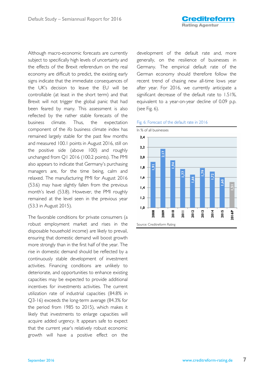Although macro-economic forecasts are currently subject to specifically high levels of uncertainty and the effects of the Brexit referendum on the real economy are difficult to predict, the existing early signs indicate that the immediate consequences of the UK's decision to leave the EU will be controllable (at least in the short term) and that Brexit will not trigger the global panic that had been feared by many. This assessment is also reflected by the rather stable forecasts of the business climate. Thus, the expectation component of the ifo business climate index has remained largely stable for the past few months and measured 100.1 points in August 2016, still on the positive side (above 100) and roughly unchanged from Q1 2016 (100.2 points). The PMI also appears to indicate that Germany's purchasing managers are, for the time being, calm and relaxed. The manufacturing PMI for August 2016 (53.6) may have slightly fallen from the previous month's level (53.8). However, the PMI roughly remained at the level seen in the previous year (53.3 in August 2015).

The favorable conditions for private consumers (a robust employment market and rises in the disposable household income) are likely to prevail, ensuring that domestic demand will boost growth more strongly than in the first half of the year. The rise in domestic demand should be reflected by a continuously stable development of investment activities. Financing conditions are unlikely to deteriorate, and opportunities to enhance existing capacities may be expected to provide additional incentives for investments activities. The current utilization rate of industrial capacities (84.8% in Q3-16) exceeds the long-term average (84.3% for the period from 1985 to 2015), which makes it likely that investments to enlarge capacities will acquire added urgency. It appears safe to expect that the current year's relatively robust economic growth will have a positive effect on the development of the default rate and, more generally, on the resilience of businesses in Germany. The empirical default rate of the German economy should therefore follow the recent trend of chasing new all-time lows year after year. For 2016, we currently anticipate a significant decrease of the default rate to 1.51%, equivalent to a year-on-year decline of 0.09 p.p. (see Fig. 6).



#### Fig. 6: Forecast of the default rate in 2016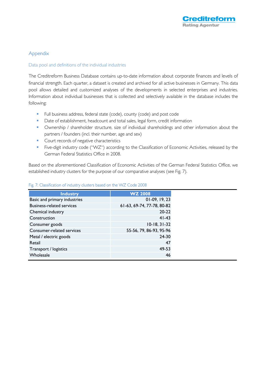# **Appendix**

### Data pool and definitions of the individual industries

The Creditreform Business Database contains up-to-date information about corporate finances and levels of financial strength. Each quarter, a dataset is created and archived for all active businesses in Germany. This data pool allows detailed and customized analyses of the developments in selected enterprises and industries. Information about individual businesses that is collected and selectively available in the database includes the following:

- Full business address, federal state (code), county (code) and post code
- Date of establishment, headcount and total sales, legal form, credit information
- **•** Ownership / shareholder structure, size of individual shareholdings and other information about the partners / founders (incl. their number, age and sex)
- Court records of negative characteristics
- Five-digit industry code ("WZ") according to the Classification of Economic Activities, released by the German Federal Statistics Office in 2008.

Based on the aforementioned Classification of Economic Activities of the German Federal Statistics Office, we established industry clusters for the purpose of our comparative analyses (see Fig. 7).

| <b>Industry</b>                  | <b>WZ 2008</b>             |
|----------------------------------|----------------------------|
| Basic and primary industries     | $01-09, 19, 23$            |
| <b>Business-related services</b> | 61-63, 69-74, 77-78, 80-82 |
| Chemical industry                | $20-22$                    |
| Construction                     | $41 - 43$                  |
| Consumer goods                   | $10-18, 31-32$             |
| Consumer-related services        | 55-56, 79, 86-93, 95-96    |
| Metal / electric goods           | $24-30$                    |
| Retail                           | 47                         |
| Transport / logistics            | 49-53                      |
| Wholesale                        | 46                         |

### Fig. 7: Classification of industry clusters based on the WZ Code 2008